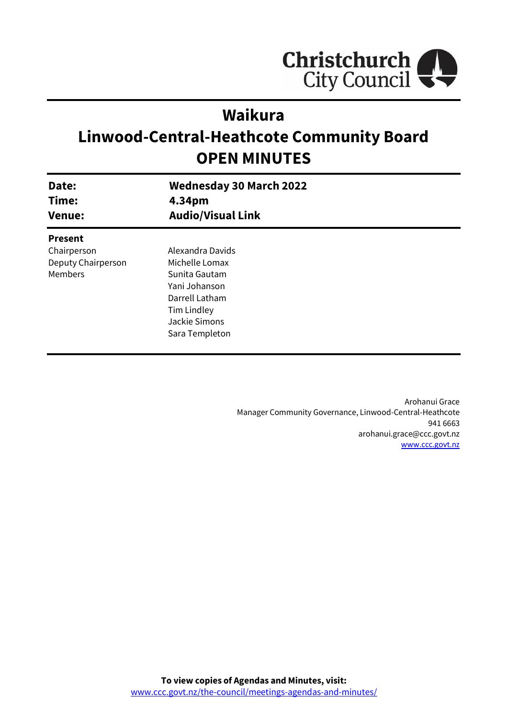

# **Waikura**

# **Linwood-Central-Heathcote Community Board OPEN MINUTES**

| Date:<br>Time:     | <b>Wednesday 30 March 2022</b><br>4.34pm |  |
|--------------------|------------------------------------------|--|
| <b>Venue:</b>      | <b>Audio/Visual Link</b>                 |  |
| <b>Present</b>     |                                          |  |
| Chairperson        | Alexandra Davids                         |  |
| Deputy Chairperson | Michelle Lomax                           |  |
| Members            | Sunita Gautam                            |  |
|                    | Yani Johanson                            |  |
|                    | Darrell Latham                           |  |
|                    | Tim Lindley                              |  |
|                    | Jackie Simons                            |  |
|                    | Sara Templeton                           |  |
|                    |                                          |  |

Arohanui Grace Manager Community Governance, Linwood-Central-Heathcote 941 6663 arohanui.grace@ccc.govt.nz [www.ccc.govt.nz](http://www.ccc.govt.nz/)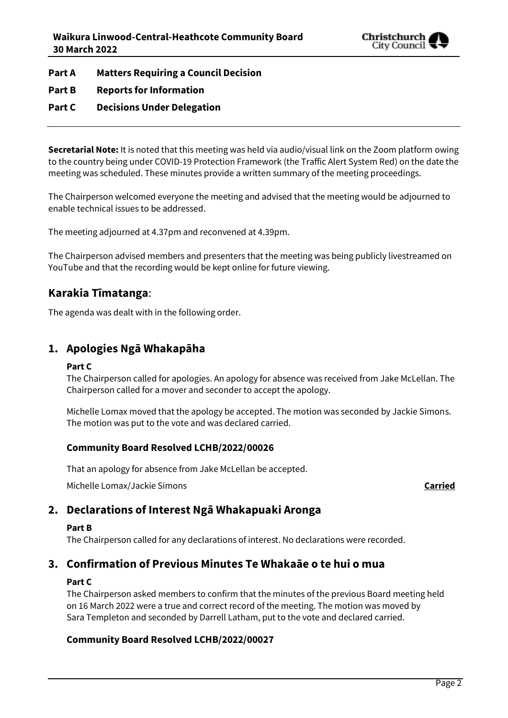

**Part A Matters Requiring a Council Decision**

## **Part B Reports for Information**

## **Part C Decisions Under Delegation**

**Secretarial Note:** It is noted that this meeting was held via audio/visual link on the Zoom platform owing to the country being under COVID-19 Protection Framework (the Traffic Alert System Red) on the date the meeting was scheduled. These minutes provide a written summary of the meeting proceedings.

The Chairperson welcomed everyone the meeting and advised that the meeting would be adjourned to enable technical issues to be addressed.

The meeting adjourned at 4.37pm and reconvened at 4.39pm.

The Chairperson advised members and presenters that the meeting was being publicly livestreamed on YouTube and that the recording would be kept online for future viewing.

## **Karakia Tīmatanga**:

The agenda was dealt with in the following order.

## **1. Apologies Ngā Whakapāha**

## **Part C**

The Chairperson called for apologies. An apology for absence was received from Jake McLellan. The Chairperson called for a mover and seconder to accept the apology.

Michelle Lomax moved that the apology be accepted. The motion was seconded by Jackie Simons. The motion was put to the vote and was declared carried.

## **Community Board Resolved LCHB/2022/00026**

That an apology for absence from Jake McLellan be accepted.

Michelle Lomax/Jackie Simons **Carried**

## **2. Declarations of Interest Ngā Whakapuaki Aronga**

## **Part B**

The Chairperson called for any declarations of interest. No declarations were recorded.

## **3. Confirmation of Previous Minutes Te Whakaāe o te hui o mua**

## **Part C**

The Chairperson asked members to confirm that the minutes of the previous Board meeting held on 16 March 2022 were a true and correct record of the meeting. The motion was moved by Sara Templeton and seconded by Darrell Latham, put to the vote and declared carried.

## **Community Board Resolved LCHB/2022/00027**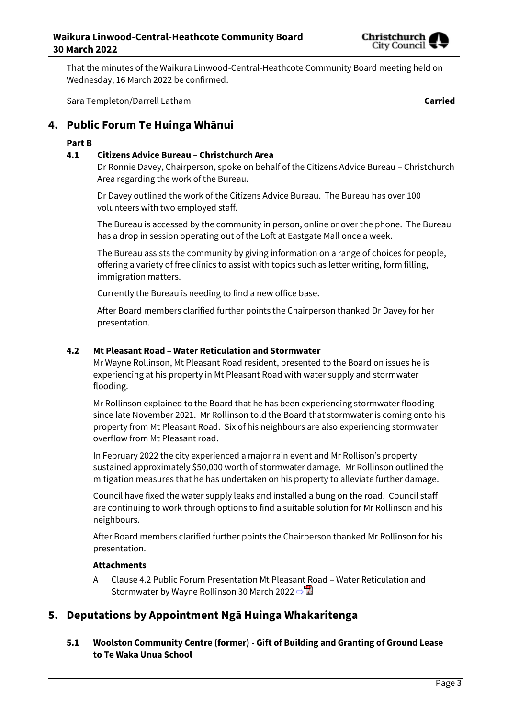

That the minutes of the Waikura Linwood-Central-Heathcote Community Board meeting held on Wednesday, 16 March 2022 be confirmed.

Sara Templeton/Darrell Latham **Carried**

## **4. Public Forum Te Huinga Whānui**

## **Part B**

## **4.1 Citizens Advice Bureau – Christchurch Area**

Dr Ronnie Davey, Chairperson, spoke on behalf of the Citizens Advice Bureau – Christchurch Area regarding the work of the Bureau.

Dr Davey outlined the work of the Citizens Advice Bureau. The Bureau has over 100 volunteers with two employed staff.

The Bureau is accessed by the community in person, online or over the phone. The Bureau has a drop in session operating out of the Loft at Eastgate Mall once a week.

The Bureau assists the community by giving information on a range of choices for people, offering a variety of free clinics to assist with topics such as letter writing, form filling, immigration matters.

Currently the Bureau is needing to find a new office base.

After Board members clarified further points the Chairperson thanked Dr Davey for her presentation.

## **4.2 Mt Pleasant Road – Water Reticulation and Stormwater**

Mr Wayne Rollinson, Mt Pleasant Road resident, presented to the Board on issues he is experiencing at his property in Mt Pleasant Road with water supply and stormwater flooding.

Mr Rollinson explained to the Board that he has been experiencing stormwater flooding since late November 2021. Mr Rollinson told the Board that stormwater is coming onto his property from Mt Pleasant Road. Six of his neighbours are also experiencing stormwater overflow from Mt Pleasant road.

In February 2022 the city experienced a major rain event and Mr Rollison's property sustained approximately \$50,000 worth of stormwater damage. Mr Rollinson outlined the mitigation measures that he has undertaken on his property to alleviate further damage.

Council have fixed the water supply leaks and installed a bung on the road. Council staff are continuing to work through options to find a suitable solution for Mr Rollinson and his neighbours.

After Board members clarified further points the Chairperson thanked Mr Rollinson for his presentation.

## **Attachments**

A Clause 4.2 Public Forum Presentation Mt Pleasant Road – Water Reticulation and Stormwater by Wayne Rollinson 30 March 2022 **[⇨](../../../RedirectToInvalidFileName.aspx?FileName=LCHB_20220330_MAT_7603.PDF#PAGE=3)</u>** 

## **5. Deputations by Appointment Ngā Huinga Whakaritenga**

**5.1 Woolston Community Centre (former) - Gift of Building and Granting of Ground Lease to Te Waka Unua School**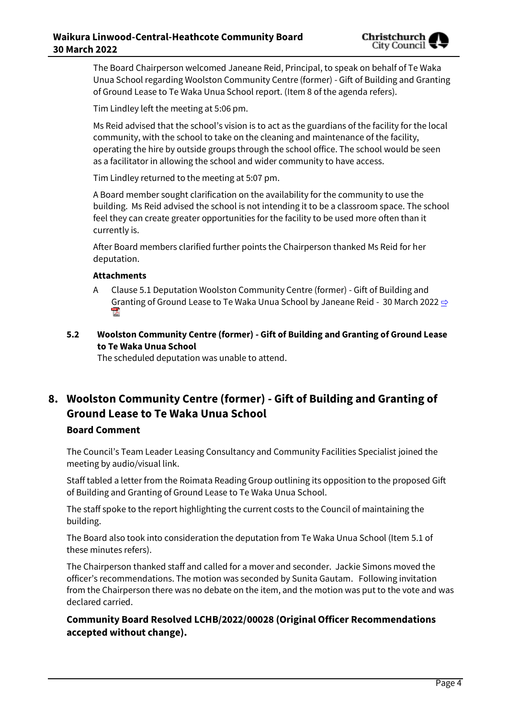

The Board Chairperson welcomed Janeane Reid, Principal, to speak on behalf of Te Waka Unua School regarding Woolston Community Centre (former) - Gift of Building and Granting of Ground Lease to Te Waka Unua School report. (Item 8 of the agenda refers).

Tim Lindley left the meeting at 5:06 pm.

Ms Reid advised that the school's vision is to act as the guardians of the facility for the local community, with the school to take on the cleaning and maintenance of the facility, operating the hire by outside groups through the school office. The school would be seen as a facilitator in allowing the school and wider community to have access.

Tim Lindley returned to the meeting at 5:07 pm.

A Board member sought clarification on the availability for the community to use the building. Ms Reid advised the school is not intending it to be a classroom space. The school feel they can create greater opportunities for the facility to be used more often than it currently is.

After Board members clarified further points the Chairperson thanked Ms Reid for her deputation.

## **Attachments**

- A Clause 5.1 Deputation Woolston Community Centre (former) Gift of Building and Granting of Ground Lease to Te Waka Unua School by Janeane Reid - 30 March 2022  $\Rightarrow$
- **5.2 Woolston Community Centre (former) - Gift of Building and Granting of Ground Lease to Te Waka Unua School**

The scheduled deputation was unable to attend.

# **8. Woolston Community Centre (former) - Gift of Building and Granting of Ground Lease to Te Waka Unua School**

## **Board Comment**

The Council's Team Leader Leasing Consultancy and Community Facilities Specialist joined the meeting by audio/visual link.

Staff tabled a letter from the Roimata Reading Group outlining its opposition to the proposed Gift of Building and Granting of Ground Lease to Te Waka Unua School.

The staff spoke to the report highlighting the current costs to the Council of maintaining the building.

The Board also took into consideration the deputation from Te Waka Unua School (Item 5.1 of these minutes refers).

The Chairperson thanked staff and called for a mover and seconder. Jackie Simons moved the officer's recommendations. The motion was seconded by Sunita Gautam. Following invitation from the Chairperson there was no debate on the item, and the motion was put to the vote and was declared carried.

**Community Board Resolved LCHB/2022/00028 (Original Officer Recommendations accepted without change).**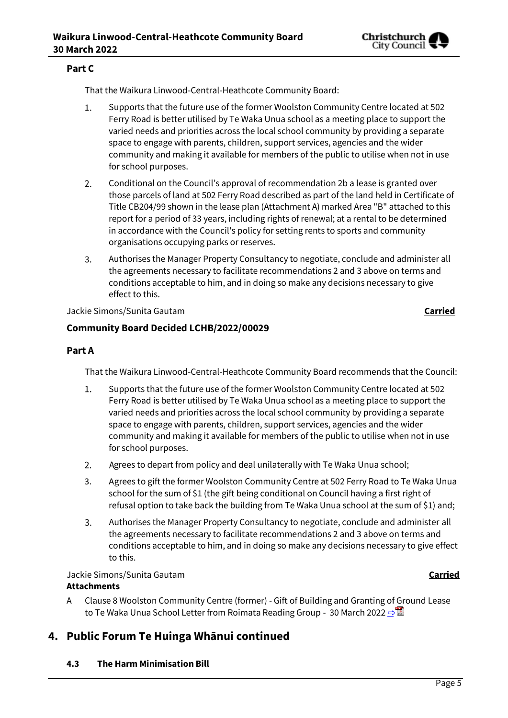

## **Part C**

That the Waikura Linwood-Central-Heathcote Community Board:

- $1.$ Supports that the future use of the former Woolston Community Centre located at 502 Ferry Road is better utilised by Te Waka Unua school as a meeting place to support the varied needs and priorities across the local school community by providing a separate space to engage with parents, children, support services, agencies and the wider community and making it available for members of the public to utilise when not in use for school purposes.
- $2.$ Conditional on the Council's approval of recommendation 2b a lease is granted over those parcels of land at 502 Ferry Road described as part of the land held in Certificate of Title CB204/99 shown in the lease plan (Attachment A) marked Area "B" attached to this report for a period of 33 years, including rights of renewal; at a rental to be determined in accordance with the Council's policy for setting rents to sports and community organisations occupying parks or reserves.
- $\overline{3}$ . Authorises the Manager Property Consultancy to negotiate, conclude and administer all the agreements necessary to facilitate recommendations 2 and 3 above on terms and conditions acceptable to him, and in doing so make any decisions necessary to give effect to this.

Jackie Simons/Sunita Gautam **Carried**

## **Community Board Decided LCHB/2022/00029**

## **Part A**

That the Waikura Linwood-Central-Heathcote Community Board recommends that the Council:

- Supports that the future use of the former Woolston Community Centre located at 502  $1.$ Ferry Road is better utilised by Te Waka Unua school as a meeting place to support the varied needs and priorities across the local school community by providing a separate space to engage with parents, children, support services, agencies and the wider community and making it available for members of the public to utilise when not in use for school purposes.
- Agrees to depart from policy and deal unilaterally with Te Waka Unua school;  $2.$
- 3. Agrees to gift the former Woolston Community Centre at 502 Ferry Road to Te Waka Unua school for the sum of \$1 (the gift being conditional on Council having a first right of refusal option to take back the building from Te Waka Unua school at the sum of \$1) and;
- 3. Authorises the Manager Property Consultancy to negotiate, conclude and administer all the agreements necessary to facilitate recommendations 2 and 3 above on terms and conditions acceptable to him, and in doing so make any decisions necessary to give effect to this.

#### Jackie Simons/Sunita Gautam **Carried Attachments**

A Clause 8 Woolston Community Centre (former) - Gift of Building and Granting of Ground Lease to Te Waka Unua School Letter from Roimata Reading Group - 30 March 2022 [⇨](../../../RedirectToInvalidFileName.aspx?FileName=LCHB_20220330_MAT_7603.PDF#PAGE=10)■

## **4. Public Forum Te Huinga Whānui continued**

**4.3 The Harm Minimisation Bill**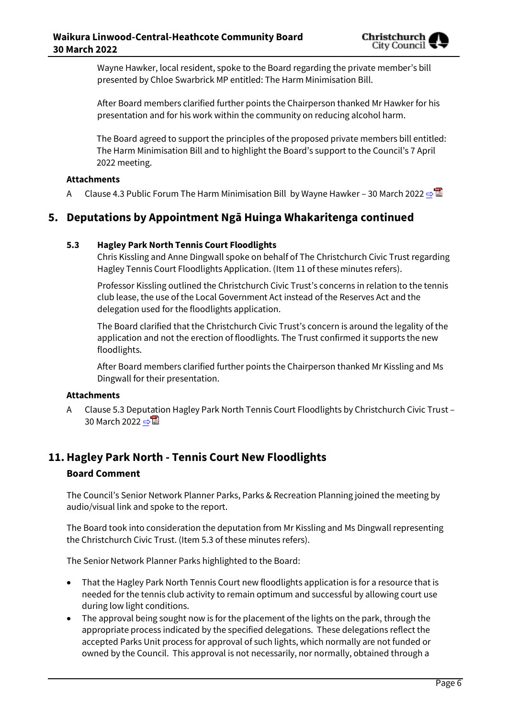Wayne Hawker, local resident, spoke to the Board regarding the private member's bill presented by Chloe Swarbrick MP entitled: The Harm Minimisation Bill.

After Board members clarified further points the Chairperson thanked Mr Hawker for his presentation and for his work within the community on reducing alcohol harm.

The Board agreed to support the principles of the proposed private members bill entitled: The Harm Minimisation Bill and to highlight the Board's support to the Council's 7 April 2022 meeting.

## **Attachments**

A Clause 4.3 Public Forum The Harm Minimisation Bill by Wayne Hawker – 30 March 2022  $\Rightarrow$ 

## **5. Deputations by Appointment Ngā Huinga Whakaritenga continued**

## **5.3 Hagley Park North Tennis Court Floodlights**

Chris Kissling and Anne Dingwall spoke on behalf of The Christchurch Civic Trust regarding Hagley Tennis Court Floodlights Application. (Item 11 of these minutes refers).

Professor Kissling outlined the Christchurch Civic Trust's concerns in relation to the tennis club lease, the use of the Local Government Act instead of the Reserves Act and the delegation used for the floodlights application.

The Board clarified that the Christchurch Civic Trust's concern is around the legality of the application and not the erection of floodlights. The Trust confirmed it supports the new floodlights.

After Board members clarified further points the Chairperson thanked Mr Kissling and Ms Dingwall for their presentation.

## **Attachments**

A Clause 5.3 Deputation Hagley Park North Tennis Court Floodlights by Christchurch Civic Trust – 30 March 2022 ⇒

## **11.Hagley Park North - Tennis Court New Floodlights**

## **Board Comment**

The Council's Senior Network Planner Parks, Parks & Recreation Planning joined the meeting by audio/visual link and spoke to the report.

The Board took into consideration the deputation from Mr Kissling and Ms Dingwall representing the Christchurch Civic Trust. (Item 5.3 of these minutes refers).

The Senior Network Planner Parks highlighted to the Board:

- That the Hagley Park North Tennis Court new floodlights application is for a resource that is needed for the tennis club activity to remain optimum and successful by allowing court use during low light conditions.
- The approval being sought now is for the placement of the lights on the park, through the appropriate process indicated by the specified delegations. These delegations reflect the accepted Parks Unit process for approval of such lights, which normally are not funded or owned by the Council. This approval is not necessarily, nor normally, obtained through a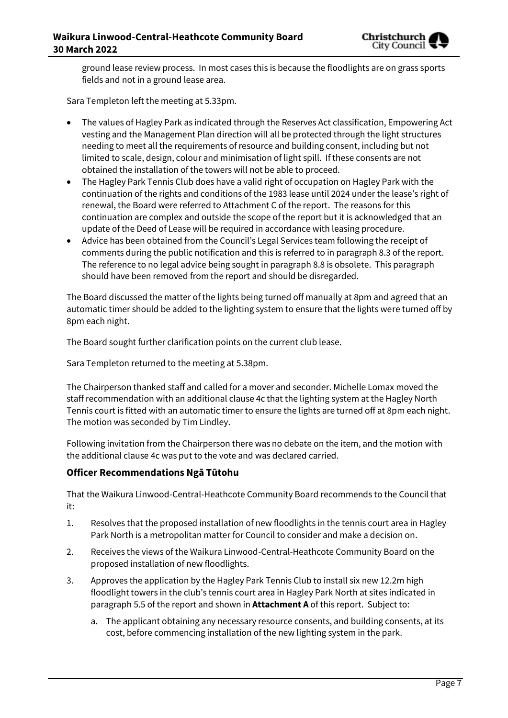

ground lease review process. In most cases this is because the floodlights are on grass sports fields and not in a ground lease area.

Sara Templeton left the meeting at 5.33pm.

- The values of Hagley Park as indicated through the Reserves Act classification, Empowering Act vesting and the Management Plan direction will all be protected through the light structures needing to meet all the requirements of resource and building consent, including but not limited to scale, design, colour and minimisation of light spill. If these consents are not obtained the installation of the towers will not be able to proceed.
- The Hagley Park Tennis Club does have a valid right of occupation on Hagley Park with the continuation of the rights and conditions of the 1983 lease until 2024 under the lease's right of renewal, the Board were referred to Attachment C of the report. The reasons for this continuation are complex and outside the scope of the report but it is acknowledged that an update of the Deed of Lease will be required in accordance with leasing procedure.
- Advice has been obtained from the Council's Legal Services team following the receipt of comments during the public notification and this is referred to in paragraph 8.3 of the report. The reference to no legal advice being sought in paragraph 8.8 is obsolete. This paragraph should have been removed from the report and should be disregarded.

The Board discussed the matter of the lights being turned off manually at 8pm and agreed that an automatic timer should be added to the lighting system to ensure that the lights were turned off by 8pm each night.

The Board sought further clarification points on the current club lease.

Sara Templeton returned to the meeting at 5.38pm.

The Chairperson thanked staff and called for a mover and seconder. Michelle Lomax moved the staff recommendation with an additional clause 4c that the lighting system at the Hagley North Tennis court is fitted with an automatic timer to ensure the lights are turned off at 8pm each night. The motion was seconded by Tim Lindley.

Following invitation from the Chairperson there was no debate on the item, and the motion with the additional clause 4c was put to the vote and was declared carried.

## **Officer Recommendations Ngā Tūtohu**

That the Waikura Linwood-Central-Heathcote Community Board recommends to the Council that it:

- 1. Resolves that the proposed installation of new floodlights in the tennis court area in Hagley Park North is a metropolitan matter for Council to consider and make a decision on.
- 2. Receives the views of the Waikura Linwood-Central-Heathcote Community Board on the proposed installation of new floodlights.
- 3. Approves the application by the Hagley Park Tennis Club to install six new 12.2m high floodlight towers in the club's tennis court area in Hagley Park North at sites indicated in paragraph 5.5 of the report and shown in **Attachment A** of this report. Subject to:
	- a. The applicant obtaining any necessary resource consents, and building consents, at its cost, before commencing installation of the new lighting system in the park.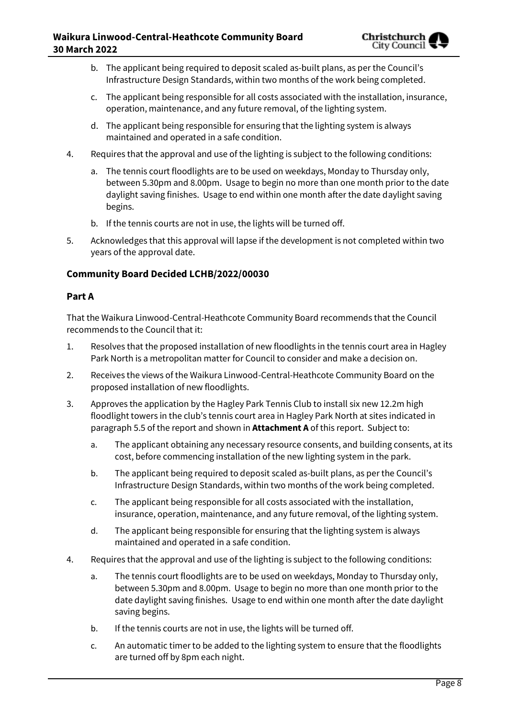- b. The applicant being required to deposit scaled as-built plans, as per the Council's Infrastructure Design Standards, within two months of the work being completed.
- c. The applicant being responsible for all costs associated with the installation, insurance, operation, maintenance, and any future removal, of the lighting system.
- d. The applicant being responsible for ensuring that the lighting system is always maintained and operated in a safe condition.
- 4. Requires that the approval and use of the lighting is subject to the following conditions:
	- a. The tennis court floodlights are to be used on weekdays, Monday to Thursday only, between 5.30pm and 8.00pm. Usage to begin no more than one month prior to the date daylight saving finishes. Usage to end within one month after the date daylight saving begins.
	- b. If the tennis courts are not in use, the lights will be turned off.
- 5. Acknowledges that this approval will lapse if the development is not completed within two years of the approval date.

## **Community Board Decided LCHB/2022/00030**

## **Part A**

That the Waikura Linwood-Central-Heathcote Community Board recommends that the Council recommends to the Council that it:

- 1. Resolves that the proposed installation of new floodlights in the tennis court area in Hagley Park North is a metropolitan matter for Council to consider and make a decision on.
- 2. Receives the views of the Waikura Linwood-Central-Heathcote Community Board on the proposed installation of new floodlights.
- 3. Approves the application by the Hagley Park Tennis Club to install six new 12.2m high floodlight towers in the club's tennis court area in Hagley Park North at sites indicated in paragraph 5.5 of the report and shown in **Attachment A** of this report. Subject to:
	- a. The applicant obtaining any necessary resource consents, and building consents, at its cost, before commencing installation of the new lighting system in the park.
	- b. The applicant being required to deposit scaled as-built plans, as per the Council's Infrastructure Design Standards, within two months of the work being completed.
	- c. The applicant being responsible for all costs associated with the installation, insurance, operation, maintenance, and any future removal, of the lighting system.
	- d. The applicant being responsible for ensuring that the lighting system is always maintained and operated in a safe condition.
- 4. Requires that the approval and use of the lighting is subject to the following conditions:
	- a. The tennis court floodlights are to be used on weekdays, Monday to Thursday only, between 5.30pm and 8.00pm. Usage to begin no more than one month prior to the date daylight saving finishes. Usage to end within one month after the date daylight saving begins.
	- b. If the tennis courts are not in use, the lights will be turned off.
	- c. An automatic timer to be added to the lighting system to ensure that the floodlights are turned off by 8pm each night.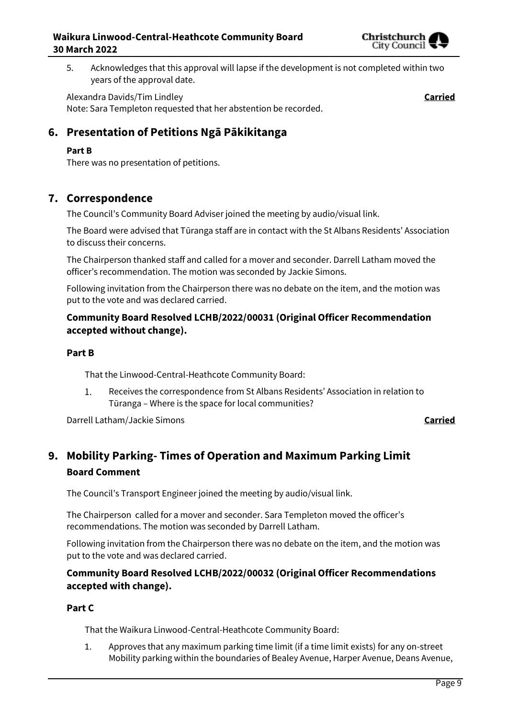

5. Acknowledges that this approval will lapse if the development is not completed within two years of the approval date.

Alexandra Davids/Tim Lindley **Carried** Note: Sara Templeton requested that her abstention be recorded.

## **6. Presentation of Petitions Ngā Pākikitanga**

## **Part B**

There was no presentation of petitions.

## **7. Correspondence**

The Council's Community Board Adviser joined the meeting by audio/visual link.

The Board were advised that Tūranga staff are in contact with the St Albans Residents' Association to discuss their concerns.

The Chairperson thanked staff and called for a mover and seconder. Darrell Latham moved the officer's recommendation. The motion was seconded by Jackie Simons.

Following invitation from the Chairperson there was no debate on the item, and the motion was put to the vote and was declared carried.

## **Community Board Resolved LCHB/2022/00031 (Original Officer Recommendation accepted without change).**

## **Part B**

That the Linwood-Central-Heathcote Community Board:

Receives the correspondence from St Albans Residents' Association in relation to  $1.$ Tūranga – Where is the space for local communities?

Darrell Latham/Jackie Simons **Carried**

## **9. Mobility Parking- Times of Operation and Maximum Parking Limit Board Comment**

The Council's Transport Engineer joined the meeting by audio/visual link.

The Chairperson called for a mover and seconder. Sara Templeton moved the officer's recommendations. The motion was seconded by Darrell Latham.

Following invitation from the Chairperson there was no debate on the item, and the motion was put to the vote and was declared carried.

## **Community Board Resolved LCHB/2022/00032 (Original Officer Recommendations accepted with change).**

## **Part C**

That the Waikura Linwood-Central-Heathcote Community Board:

1. Approves that any maximum parking time limit (if a time limit exists) for any on-street Mobility parking within the boundaries of Bealey Avenue, Harper Avenue, Deans Avenue,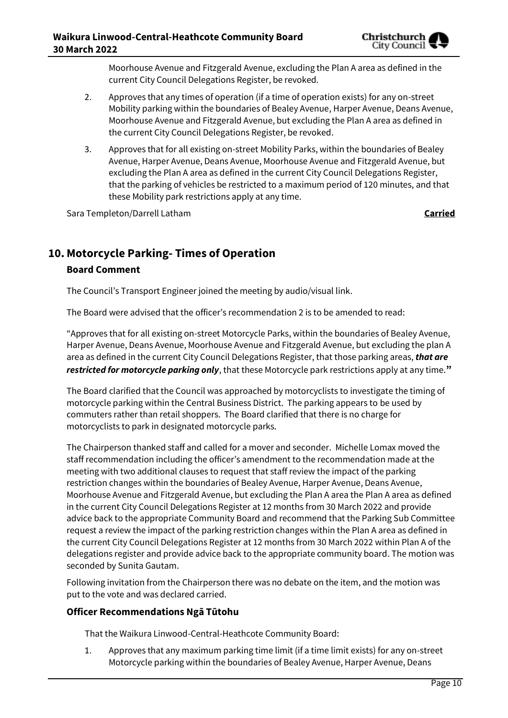

Moorhouse Avenue and Fitzgerald Avenue, excluding the Plan A area as defined in the current City Council Delegations Register, be revoked.

- 2. Approves that any times of operation (if a time of operation exists) for any on-street Mobility parking within the boundaries of Bealey Avenue, Harper Avenue, Deans Avenue, Moorhouse Avenue and Fitzgerald Avenue, but excluding the Plan A area as defined in the current City Council Delegations Register, be revoked.
- 3. Approves that for all existing on-street Mobility Parks, within the boundaries of Bealey Avenue, Harper Avenue, Deans Avenue, Moorhouse Avenue and Fitzgerald Avenue, but excluding the Plan A area as defined in the current City Council Delegations Register, that the parking of vehicles be restricted to a maximum period of 120 minutes, and that these Mobility park restrictions apply at any time.

Sara Templeton/Darrell Latham **Carried**

## **10. Motorcycle Parking- Times of Operation**

## **Board Comment**

The Council's Transport Engineer joined the meeting by audio/visual link.

The Board were advised that the officer's recommendation 2 is to be amended to read:

"Approves that for all existing on-street Motorcycle Parks, within the boundaries of Bealey Avenue, Harper Avenue, Deans Avenue, Moorhouse Avenue and Fitzgerald Avenue, but excluding the plan A area as defined in the current City Council Delegations Register, that those parking areas, *that are restricted for motorcycle parking only*, that these Motorcycle park restrictions apply at any time.**"**

The Board clarified that the Council was approached by motorcyclists to investigate the timing of motorcycle parking within the Central Business District. The parking appears to be used by commuters rather than retail shoppers. The Board clarified that there is no charge for motorcyclists to park in designated motorcycle parks.

The Chairperson thanked staff and called for a mover and seconder. Michelle Lomax moved the staff recommendation including the officer's amendment to the recommendation made at the meeting with two additional clauses to request that staff review the impact of the parking restriction changes within the boundaries of Bealey Avenue, Harper Avenue, Deans Avenue, Moorhouse Avenue and Fitzgerald Avenue, but excluding the Plan A area the Plan A area as defined in the current City Council Delegations Register at 12 months from 30 March 2022 and provide advice back to the appropriate Community Board and recommend that the Parking Sub Committee request a review the impact of the parking restriction changes within the Plan A area as defined in the current City Council Delegations Register at 12 months from 30 March 2022 within Plan A of the delegations register and provide advice back to the appropriate community board. The motion was seconded by Sunita Gautam.

Following invitation from the Chairperson there was no debate on the item, and the motion was put to the vote and was declared carried.

## **Officer Recommendations Ngā Tūtohu**

That the Waikura Linwood-Central-Heathcote Community Board:

1. Approves that any maximum parking time limit (if a time limit exists) for any on-street Motorcycle parking within the boundaries of Bealey Avenue, Harper Avenue, Deans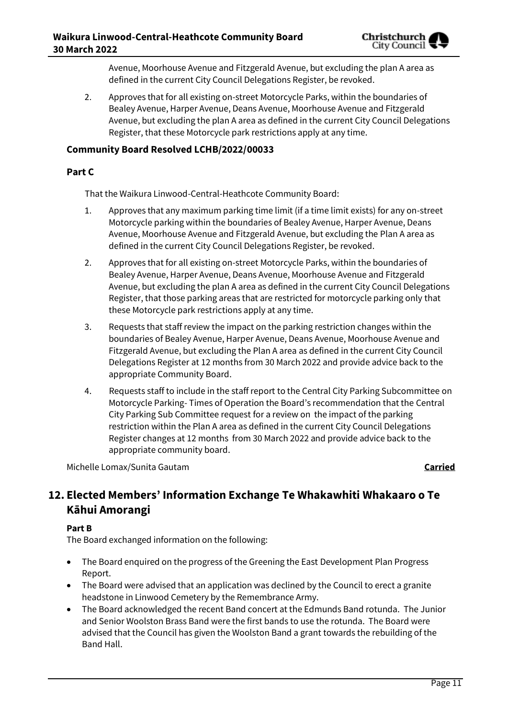Avenue, Moorhouse Avenue and Fitzgerald Avenue, but excluding the plan A area as defined in the current City Council Delegations Register, be revoked.

2. Approves that for all existing on-street Motorcycle Parks, within the boundaries of Bealey Avenue, Harper Avenue, Deans Avenue, Moorhouse Avenue and Fitzgerald Avenue, but excluding the plan A area as defined in the current City Council Delegations Register, that these Motorcycle park restrictions apply at any time.

## **Community Board Resolved LCHB/2022/00033**

## **Part C**

That the Waikura Linwood-Central-Heathcote Community Board:

- 1. Approves that any maximum parking time limit (if a time limit exists) for any on-street Motorcycle parking within the boundaries of Bealey Avenue, Harper Avenue, Deans Avenue, Moorhouse Avenue and Fitzgerald Avenue, but excluding the Plan A area as defined in the current City Council Delegations Register, be revoked.
- 2. Approves that for all existing on-street Motorcycle Parks, within the boundaries of Bealey Avenue, Harper Avenue, Deans Avenue, Moorhouse Avenue and Fitzgerald Avenue, but excluding the plan A area as defined in the current City Council Delegations Register, that those parking areas that are restricted for motorcycle parking only that these Motorcycle park restrictions apply at any time.
- 3. Requests that staff review the impact on the parking restriction changes within the boundaries of Bealey Avenue, Harper Avenue, Deans Avenue, Moorhouse Avenue and Fitzgerald Avenue, but excluding the Plan A area as defined in the current City Council Delegations Register at 12 months from 30 March 2022 and provide advice back to the appropriate Community Board.
- 4. Requests staff to include in the staff report to the Central City Parking Subcommittee on Motorcycle Parking- Times of Operation the Board's recommendation that the Central City Parking Sub Committee request for a review on the impact of the parking restriction within the Plan A area as defined in the current City Council Delegations Register changes at 12 months from 30 March 2022 and provide advice back to the appropriate community board.

Michelle Lomax/Sunita Gautam **Carried**

## **12. Elected Members' Information Exchange Te Whakawhiti Whakaaro o Te Kāhui Amorangi**

## **Part B**

The Board exchanged information on the following:

- The Board enquired on the progress of the Greening the East Development Plan Progress Report.
- The Board were advised that an application was declined by the Council to erect a granite headstone in Linwood Cemetery by the Remembrance Army.
- The Board acknowledged the recent Band concert at the Edmunds Band rotunda. The Junior and Senior Woolston Brass Band were the first bands to use the rotunda. The Board were advised that the Council has given the Woolston Band a grant towards the rebuilding of the Band Hall.